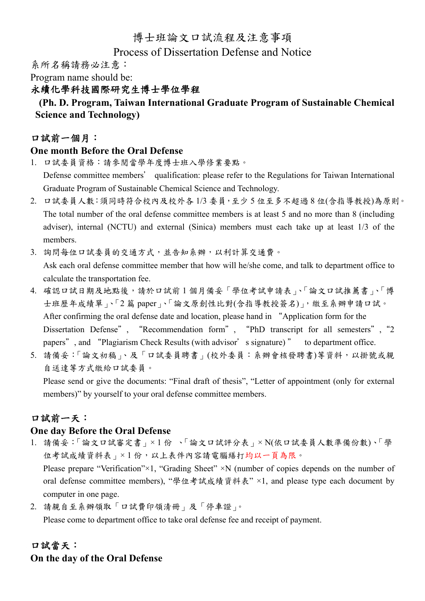# 博士班論文口試流程及注意事項

#### Process of Dissertation Defense and Notice

系所名稱請務必注意:

Program name should be:

#### 永續化學科技國際研究生博士學位學程

# **(Ph. D. Program, Taiwan International Graduate Program of Sustainable Chemical Science and Technology)**

#### 口試前一個月:

#### **One month Before the Oral Defense**

- 1. 口試委員資格:請參閱當學年度博士班入學修業要點。 Defense committee members' qualification: please refer to the Regulations for Taiwan International Graduate Program of Sustainable Chemical Science and Technology.
- 2. 口試委員人數:須同時符合校內及校外各 1/3 委員,至少 5 位至多不超過 8 位(含指導教授)為原則。 The total number of the oral defense committee members is at least 5 and no more than 8 (including adviser), internal (NCTU) and external (Sinica) members must each take up at least 1/3 of the members.
- 3. 詢問每位口試委員的交通方式,並告知系辦,以利計算交通費。 Ask each oral defense committee member that how will he/she come, and talk to department office to calculate the transportation fee.
- 4. 確認口試日期及地點後,請於口試前 1 個月備妥「學位考試申請表」、「論文口試推薦書」、「博 士班歷年成績單」、「2 篇 paper」、「論文原創性比對(含指導教授簽名)」, 繳至系辦申請口試。 After confirming the oral defense date and location, please hand in "Application form for the Dissertation Defense", "Recommendation form", "PhD transcript for all semesters","2 papers", and "Plagiarism Check Results (with advisor's signature)" to department office.
- 5. 請備妥:「論文初稿」、及「口試委員聘書」(校外委員:系辦會核發聘書)等資料,以掛號或親 自送達等方式繳給口試委員。

Please send or give the documents: "Final draft of thesis", "Letter of appointment (only for external members)" by yourself to your oral defense committee members.

# 口試前ㄧ天:

# **One day Before the Oral Defense**

1. 請備妥:「論文口試審定書」× 1 份 、「論文口試評分表」× N(依口試委員人數準備份數)、「學 位考試成績資料表」×1份,以上表件內容請電腦繕打均以一頁為限。

Please prepare "Verification"×1, "Grading Sheet" ×N (number of copies depends on the number of oral defense committee members), "學位考試成績資料表" ×1, and please type each document by computer in one page.

2. 請親自至系辦領取「口試費印領清冊」及「停車證」。

Please come to department office to take oral defense fee and receipt of payment.

# 口試當天: **On the day of the Oral Defense**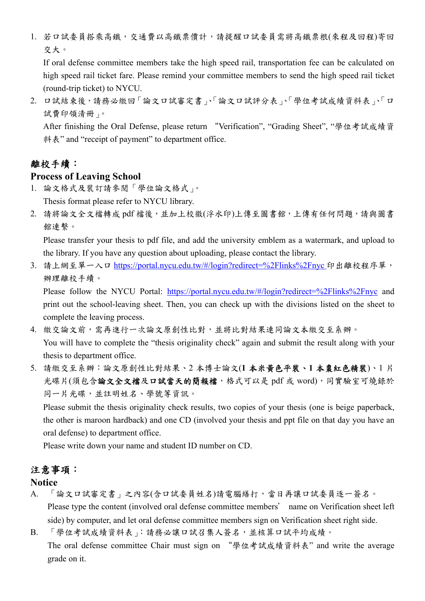1. 若口試委員搭乘高鐵,交通費以高鐵票價計,請提醒口試委員需將高鐵票根(來程及回程)寄回 交大。

If oral defense committee members take the high speed rail, transportation fee can be calculated on high speed rail ticket fare. Please remind your committee members to send the high speed rail ticket (round-trip ticket) to NYCU.

2. 口試結束後,請務必繳回「論文口試審定書」、「論文口試評分表」、「學位考試成績資料表」、「口 試費印領清冊」。

After finishing the Oral Defense, please return "Verification", "Grading Sheet", "學位考試成績資 料表" and "receipt of payment" to department office.

# 離校手續:

#### **Process of Leaving School**

- 1. 論文格式及裝訂請參閱「學位論文格式」。 Thesis format please refer to NYCU library.
- 2. 請將論文全文檔轉成 pdf 檔後,並加上校徽(浮水印)上傳至圖書館,上傳有任何問題,請與圖書 館連繫。

Please transfer your thesis to pdf file, and add the university emblem as a watermark, and upload to the library. If you have any question about uploading, please contact the library.

3. 請上網至單一入口 https://portal.nycu.edu.tw/#/login?redirect=%2Flinks%2Fnyc 印出離校程序單, 辦理離校手續。

Please follow the NYCU Portal: https://portal.nycu.edu.tw/#/login?redirect=%2Flinks%2Fnyc and print out the school-leaving sheet. Then, you can check up with the divisions listed on the sheet to complete the leaving process.

- 4. 繳交論文前,需再進行一次論文原創性比對,並將比對結果連同論文本繳交至系辦。 You will have to complete the "thesis originality check" again and submit the result along with your thesis to department office.
- 5. 請繳交至系辦:論文原創性比對結果、2 本博士論文(**1** 本米黃色平裝、**1** 本棗紅色精裝)、1 片 光碟片(須包含論文全文檔及口試當天的簡報檔,格式可以是 pdf 或 word),同實驗室可燒錄於 同一片光碟,並註明姓名、學號等資訊。

Please submit the thesis originality check results, two copies of your thesis (one is beige paperback, the other is maroon hardback) and one CD (involved your thesis and ppt file on that day you have an oral defense) to department office.

Please write down your name and student ID number on CD.

# 注意事項:

#### **Notice**

- A. 「論文口試審定書」之內容(含口試委員姓名)請電腦繕打,當日再讓口試委員逐一簽名。 Please type the content (involved oral defense committee members' name on Verification sheet left side) by computer, and let oral defense committee members sign on Verification sheet right side.
- B. 「學位考試成績資料表」:請務必讓口試召集人簽名,並核算口試平均成績。

The oral defense committee Chair must sign on "學位考試成績資料表" and write the average grade on it.